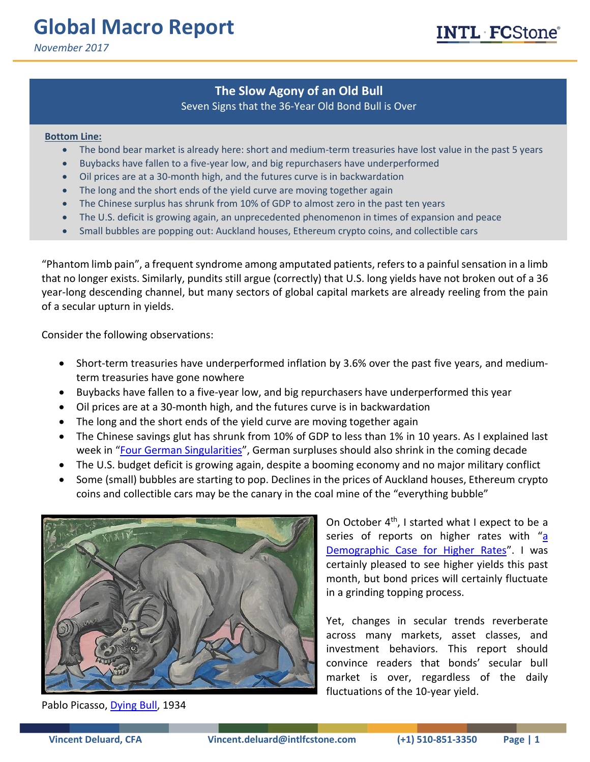# **Global Macro Report**

*November 2017*

# **The Slow Agony of an Old Bull**

## Seven Signs that the 36-Year Old Bond Bull is Over

#### **Bottom Line:**

- The bond bear market is already here: short and medium-term treasuries have lost value in the past 5 years
- Buybacks have fallen to a five-year low, and big repurchasers have underperformed
- Oil prices are at a 30-month high, and the futures curve is in backwardation
- The long and the short ends of the yield curve are moving together again
- The Chinese surplus has shrunk from 10% of GDP to almost zero in the past ten years
- The U.S. deficit is growing again, an unprecedented phenomenon in times of expansion and peace
- Small bubbles are popping out: Auckland houses, Ethereum crypto coins, and collectible cars

"Phantom limb pain", a frequent syndrome among amputated patients, refers to a painful sensation in a limb that no longer exists. Similarly, pundits still argue (correctly) that U.S. long yields have not broken out of a 36 year-long descending channel, but many sectors of global capital markets are already reeling from the pain of a secular upturn in yields.

Consider the following observations:

- Short-term treasuries have underperformed inflation by 3.6% over the past five years, and mediumterm treasuries have gone nowhere
- Buybacks have fallen to a five-year low, and big repurchasers have underperformed this year
- Oil prices are at a 30-month high, and the futures curve is in backwardation
- The long and the short ends of the yield curve are moving together again
- The Chinese savings glut has shrunk from 10% of GDP to less than 1% in 10 years. As I explained last week in "[Four German Singularities](https://marketintel.intlfcstone.com/MISecure/Flex/ViewPdf.aspx?Item=212923)", German surpluses should also shrink in the coming decade
- The U.S. budget deficit is growing again, despite a booming economy and no major military conflict
- Some (small) bubbles are starting to pop. Declines in the prices of Auckland houses, Ethereum crypto coins and collectible cars may be the canary in the coal mine of the "everything bubble"



Pablo Picasso, [Dying Bull,](https://metmuseum.org/art/collection/search/490022) 1934

On October 4<sup>th</sup>, I started what I expect to be a series of reports on higher rates with "a [Demographic Case for Higher Rates](https://marketintel.intlfcstone.com/MISecure/Flex/ViewPdf.aspx?Item=208677)". I was certainly pleased to see higher yields this past month, but bond prices will certainly fluctuate in a grinding topping process.

Yet, changes in secular trends reverberate across many markets, asset classes, and investment behaviors. This report should convince readers that bonds' secular bull market is over, regardless of the daily fluctuations of the 10-year yield.

NTL FCStone<sup>®</sup>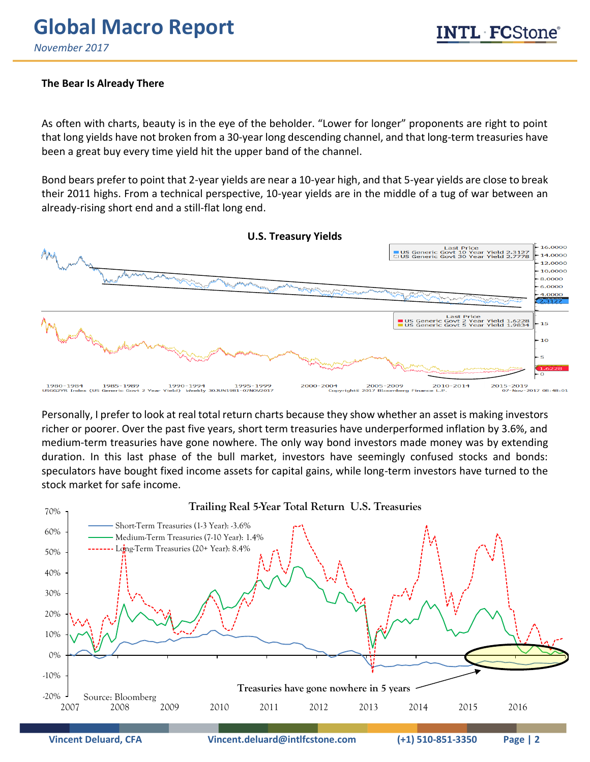# **Global Macro Report**

*November 2017*

#### **The Bear Is Already There**

As often with charts, beauty is in the eye of the beholder. "Lower for longer" proponents are right to point that long yields have not broken from a 30-year long descending channel, and that long-term treasuries have been a great buy every time yield hit the upper band of the channel.

Bond bears prefer to point that 2-year yields are near a 10-year high, and that 5-year yields are close to break their 2011 highs. From a technical perspective, 10-year yields are in the middle of a tug of war between an already-rising short end and a still-flat long end.



Personally, I prefer to look at real total return charts because they show whether an asset is making investors richer or poorer. Over the past five years, short term treasuries have underperformed inflation by 3.6%, and medium-term treasuries have gone nowhere. The only way bond investors made money was by extending duration. In this last phase of the bull market, investors have seemingly confused stocks and bonds: speculators have bought fixed income assets for capital gains, while long-term investors have turned to the stock market for safe income.

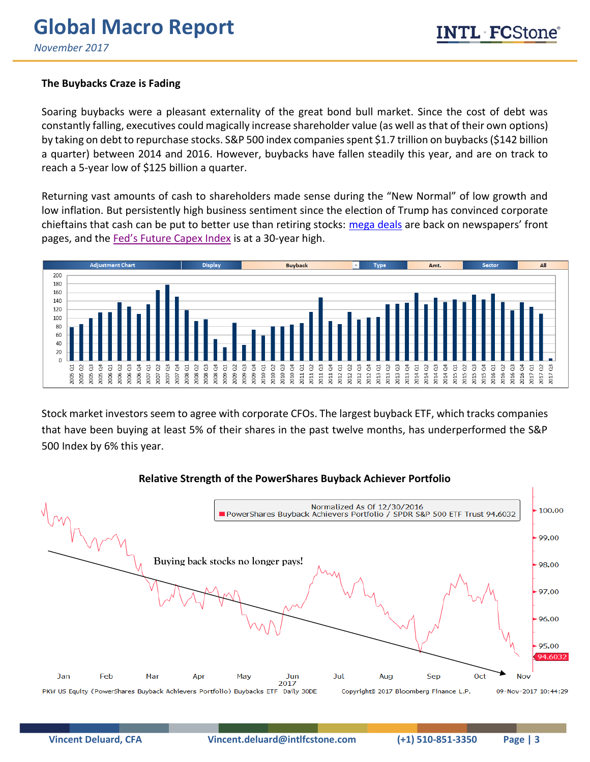## **The Buybacks Craze is Fading**

Soaring buybacks were a pleasant externality of the great bond bull market. Since the cost of debt was constantly falling, executives could magically increase shareholder value (as well as that of their own options) by taking on debt to repurchase stocks. S&P 500 index companies spent \$1.7 trillion on buybacks (\$142 billion a quarter) between 2014 and 2016. However, buybacks have fallen steadily this year, and are on track to reach a 5-year low of \$125 billion a quarter.

Returning vast amounts of cash to shareholders made sense during the "New Normal" of low growth and low inflation. But persistently high business sentiment since the election of Trump has convinced corporate chieftains that cash can be put to better use than retiring stocks: [mega deals](https://www.ft.com/content/45cacd9c-c892-11e7-ab18-7a9fb7d6163e) are back on newspapers' front pages, and the [Fed's Future Capex Index](https://fred.stlouisfed.org/series/CEFDFSA066MSFRBPHI) is at a 30-year high.



Stock market investors seem to agree with corporate CFOs. The largest buyback ETF, which tracks companies that have been buying at least 5% of their shares in the past twelve months, has underperformed the S&P 500 Index by 6% this year.

#### **Relative Strength of the PowerShares Buyback Achiever Portfolio**

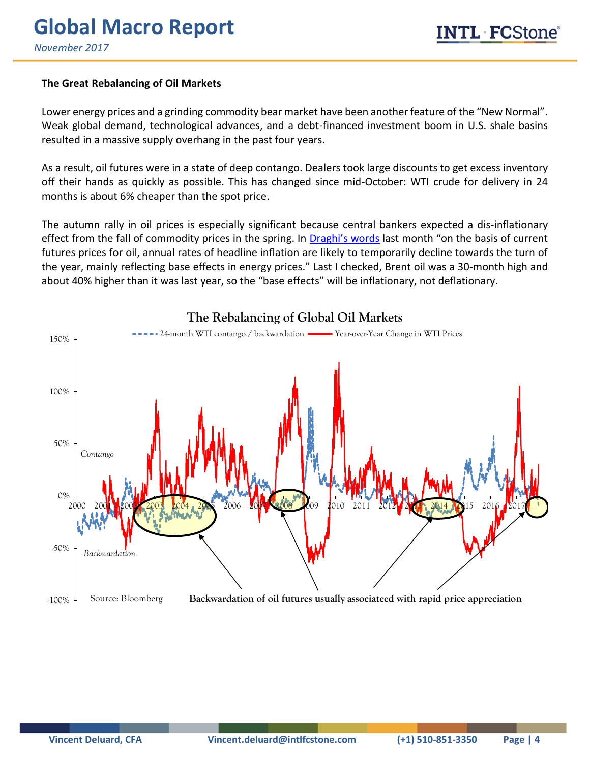### **The Great Rebalancing of Oil Markets**

Lower energy prices and a grinding commodity bear market have been another feature of the "New Normal". Weak global demand, technological advances, and a debt-financed investment boom in U.S. shale basins resulted in a massive supply overhang in the past four years.

As a result, oil futures were in a state of deep contango. Dealers took large discounts to get excess inventory off their hands as quickly as possible. This has changed since mid-October: WTI crude for delivery in 24 months is about 6% cheaper than the spot price.

The autumn rally in oil prices is especially significant because central bankers expected a dis-inflationary effect from the fall of commodity prices in the spring. In [Draghi's words](https://www.ecb.europa.eu/press/pressconf/2017/html/ecb.is171026.en.html) last month "on the basis of current futures prices for oil, annual rates of headline inflation are likely to temporarily decline towards the turn of the year, mainly reflecting base effects in energy prices." Last I checked, Brent oil was a 30-month high and about 40% higher than it was last year, so the "base effects" will be inflationary, not deflationary.



# **The Rebalancing of Global Oil Markets**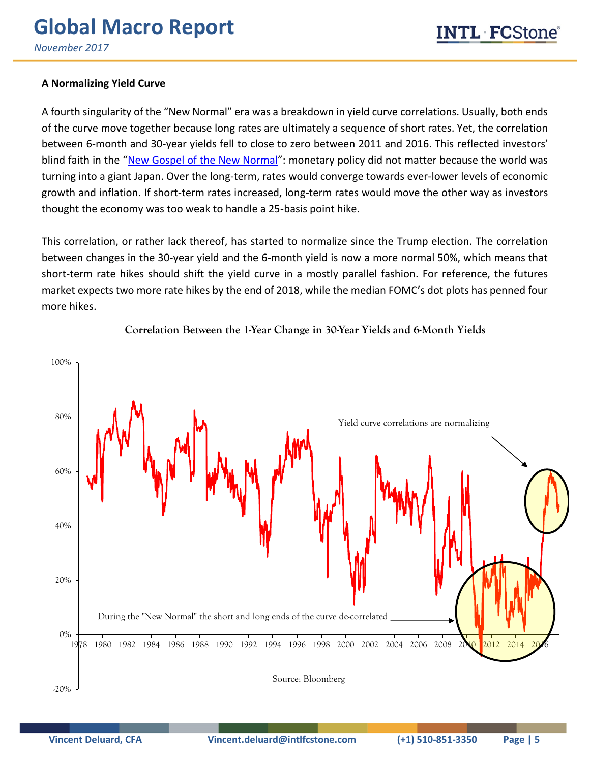## **A Normalizing Yield Curve**

A fourth singularity of the "New Normal" era was a breakdown in yield curve correlations. Usually, both ends of the curve move together because long rates are ultimately a sequence of short rates. Yet, the correlation between 6-month and 30-year yields fell to close to zero between 2011 and 2016. This reflected investors' blind faith in the "[New Gospel of the New Normal](https://marketintel.intlfcstone.com/MISecure/Flex/ViewPdf.aspx?Item=210246)": monetary policy did not matter because the world was turning into a giant Japan. Over the long-term, rates would converge towards ever-lower levels of economic growth and inflation. If short-term rates increased, long-term rates would move the other way as investors thought the economy was too weak to handle a 25-basis point hike.

This correlation, or rather lack thereof, has started to normalize since the Trump election. The correlation between changes in the 30-year yield and the 6-month yield is now a more normal 50%, which means that short-term rate hikes should shift the yield curve in a mostly parallel fashion. For reference, the futures market expects two more rate hikes by the end of 2018, while the median FOMC's dot plots has penned four more hikes.



**Correlation Between the 1-Year Change in 30-Year Yields and 6-Month Yields**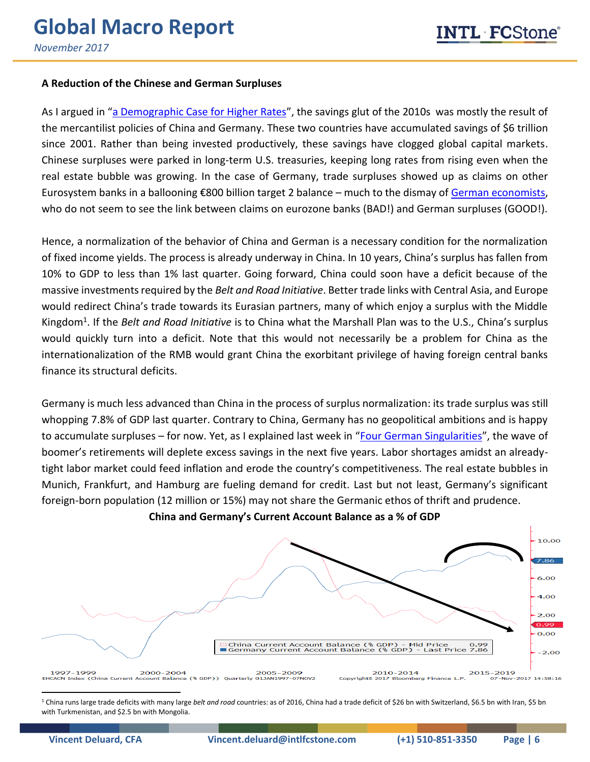#### **A Reduction of the Chinese and German Surpluses**

As I argued in "[a Demographic Case for Higher Rates](https://marketintel.intlfcstone.com/MISecure/Flex/ViewPdf.aspx?Item=208677)", the savings glut of the 2010s was mostly the result of the mercantilist policies of China and Germany. These two countries have accumulated savings of \$6 trillion since 2001. Rather than being invested productively, these savings have clogged global capital markets. Chinese surpluses were parked in long-term U.S. treasuries, keeping long rates from rising even when the real estate bubble was growing. In the case of Germany, trade surpluses showed up as claims on other Eurosystem banks in a ballooning €800 billion target 2 balance – much to the dismay of [German economists,](https://www.project-syndicate.org/columnist/hans-werner-sinn) who do not seem to see the link between claims on eurozone banks (BAD!) and German surpluses (GOOD!).

Hence, a normalization of the behavior of China and German is a necessary condition for the normalization of fixed income yields. The process is already underway in China. In 10 years, China's surplus has fallen from 10% to GDP to less than 1% last quarter. Going forward, China could soon have a deficit because of the massive investments required by the *Belt and Road Initiative*. Better trade links with Central Asia, and Europe would redirect China's trade towards its Eurasian partners, many of which enjoy a surplus with the Middle Kingdom<sup>1</sup>. If the *Belt and Road Initiative* is to China what the Marshall Plan was to the U.S., China's surplus would quickly turn into a deficit. Note that this would not necessarily be a problem for China as the internationalization of the RMB would grant China the exorbitant privilege of having foreign central banks finance its structural deficits.

Germany is much less advanced than China in the process of surplus normalization: its trade surplus was still whopping 7.8% of GDP last quarter. Contrary to China, Germany has no geopolitical ambitions and is happy to accumulate surpluses – for now. Yet, as I explained last week in "[Four German Singularities](https://marketintel.intlfcstone.com/MISecure/Flex/ViewPdf.aspx?Item=212923)", the wave of boomer's retirements will deplete excess savings in the next five years. Labor shortages amidst an alreadytight labor market could feed inflation and erode the country's competitiveness. The real estate bubbles in Munich, Frankfurt, and Hamburg are fueling demand for credit. Last but not least, Germany's significant foreign-born population (12 million or 15%) may not share the Germanic ethos of thrift and prudence.



**China and Germany's Current Account Balance as a % of GDP**

<sup>1</sup> China runs large trade deficits with many large *belt and road* countries: as of 2016, China had a trade deficit of \$26 bn with Switzerland, \$6.5 bn with Iran, \$5 bn with Turkmenistan, and \$2.5 bn with Mongolia.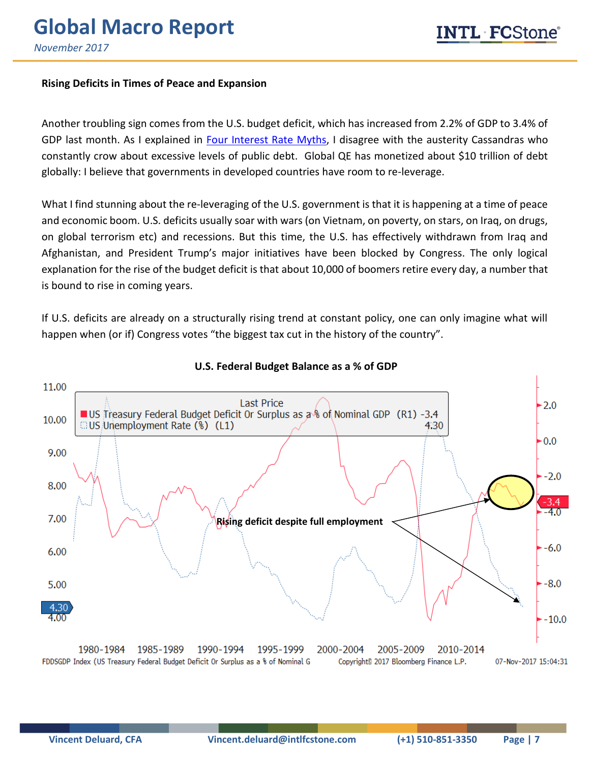#### **Rising Deficits in Times of Peace and Expansion**

Another troubling sign comes from the U.S. budget deficit, which has increased from 2.2% of GDP to 3.4% of GDP last month. As I explained in [Four Interest Rate Myths,](https://marketintel.intlfcstone.com/MISecure/Flex/ViewPdf.aspx?Item=210246) I disagree with the austerity Cassandras who constantly crow about excessive levels of public debt. Global QE has monetized about \$10 trillion of debt globally: I believe that governments in developed countries have room to re-leverage.

What I find stunning about the re-leveraging of the U.S. government is that it is happening at a time of peace and economic boom. U.S. deficits usually soar with wars (on Vietnam, on poverty, on stars, on Iraq, on drugs, on global terrorism etc) and recessions. But this time, the U.S. has effectively withdrawn from Iraq and Afghanistan, and President Trump's major initiatives have been blocked by Congress. The only logical explanation for the rise of the budget deficit is that about 10,000 of boomers retire every day, a number that is bound to rise in coming years.

If U.S. deficits are already on a structurally rising trend at constant policy, one can only imagine what will happen when (or if) Congress votes "the biggest tax cut in the history of the country".



#### **U.S. Federal Budget Balance as a % of GDP**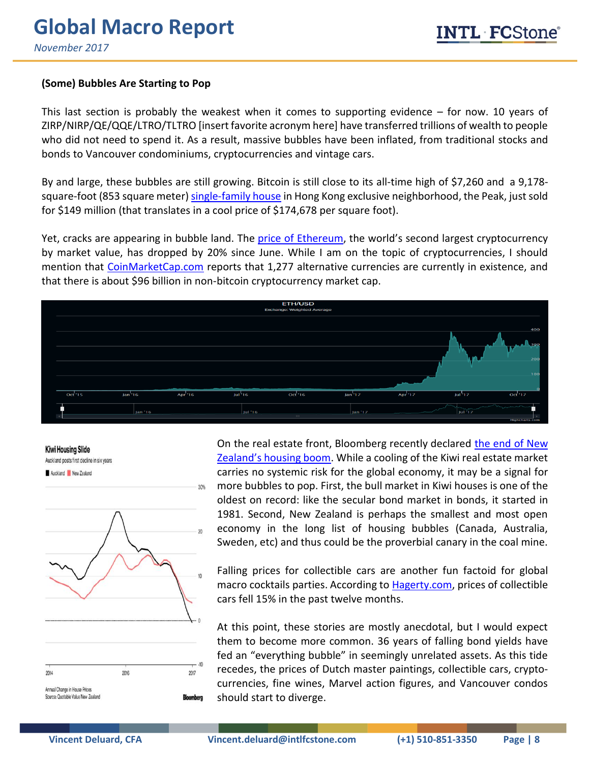### **(Some) Bubbles Are Starting to Pop**

This last section is probably the weakest when it comes to supporting evidence – for now. 10 years of ZIRP/NIRP/QE/QQE/LTRO/TLTRO [insert favorite acronym here] have transferred trillions of wealth to people who did not need to spend it. As a result, massive bubbles have been inflated, from traditional stocks and bonds to Vancouver condominiums, cryptocurrencies and vintage cars.

By and large, these bubbles are still growing. Bitcoin is still close to its all-time high of \$7,260 and a 9,178 square-foot (853 square meter) [single-family house](https://www.mansionglobal.com/articles/79128-hong-kong-residence-sells-for-hk-1-16-billion) in Hong Kong exclusive neighborhood, the Peak, just sold for \$149 million (that translates in a cool price of \$174,678 per square foot).

Yet, cracks are appearing in bubble land. The [price of Ethereum](https://ethereumprice.org/), the world's second largest cryptocurrency by market value, has dropped by 20% since June. While I am on the topic of cryptocurrencies, I should mention that [CoinMarketCap.com](https://coinmarketcap.com/all/views/all/) reports that 1,277 alternative currencies are currently in existence, and that there is about \$96 billion in non-bitcoin cryptocurrency market cap.



**Kiwi Housing Slide** Auckland posts first decline in six years Auckland New Zealand

30%

 $\overline{20}$ 

 $10<sup>10</sup>$  $-10$ 2014 2016 2017 Annual Change in House Prices Source: Quotable Value New Zealand **Bloomberg** 

On the real estate front, Bloomberg recently declared the end of New [Zealand's housing boom](https://www.bloomberg.com/news/articles/2017-11-01/auckland-house-price-drop-brings-kiwi-property-boom-to-an-end). While a cooling of the Kiwi real estate market carries no systemic risk for the global economy, it may be a signal for more bubbles to pop. First, the bull market in Kiwi houses is one of the oldest on record: like the secular bond market in bonds, it started in 1981. Second, New Zealand is perhaps the smallest and most open economy in the long list of housing bubbles (Canada, Australia, Sweden, etc) and thus could be the proverbial canary in the coal mine.

Falling prices for collectible cars are another fun factoid for global macro cocktails parties. According to [Hagerty.com,](https://www.hagerty.com/apps/valuationtools/market-trends/market-rating/October-2017) prices of collectible cars fell 15% in the past twelve months.

At this point, these stories are mostly anecdotal, but I would expect them to become more common. 36 years of falling bond yields have fed an "everything bubble" in seemingly unrelated assets. As this tide recedes, the prices of Dutch master paintings, collectible cars, cryptocurrencies, fine wines, Marvel action figures, and Vancouver condos should start to diverge.